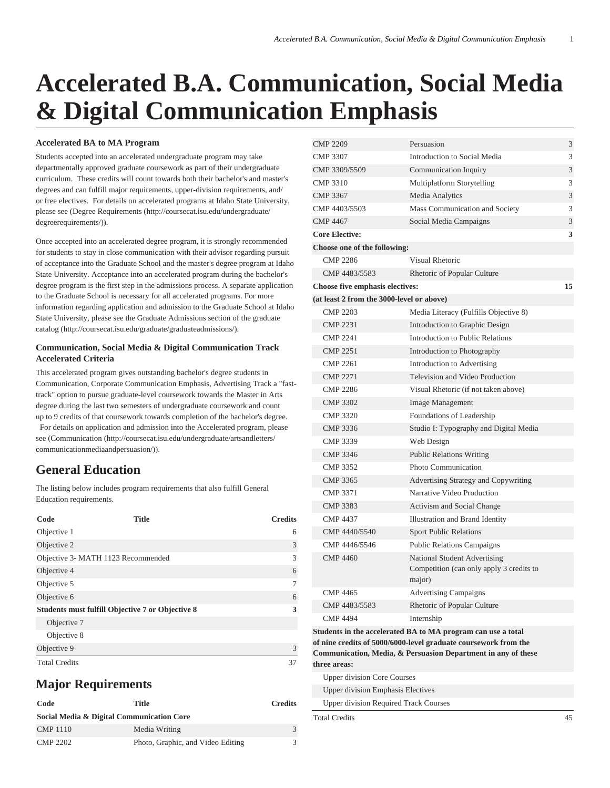# **Accelerated B.A. Communication, Social Media & Digital Communication Emphasis**

#### **Accelerated BA to MA Program**

Students accepted into an accelerated undergraduate program may take departmentally approved graduate coursework as part of their undergraduate curriculum. These credits will count towards both their bachelor's and master's degrees and can fulfill major requirements, upper-division requirements, and/ or free electives. For details on accelerated programs at Idaho State University, please see ([Degree Requirements](http://coursecat.isu.edu/undergraduate/degreerequirements/) [\(http://coursecat.isu.edu/undergraduate/](http://coursecat.isu.edu/undergraduate/degreerequirements/) [degreerequirements/](http://coursecat.isu.edu/undergraduate/degreerequirements/))).

Once accepted into an accelerated degree program, it is strongly recommended for students to stay in close communication with their advisor regarding pursuit of acceptance into the Graduate School and the master's degree program at Idaho State University. Acceptance into an accelerated program during the bachelor's degree program is the first step in the admissions process. A separate application to the Graduate School is necessary for all accelerated programs. For more information regarding application and admission to the Graduate School at Idaho State University, please see the Graduate Admissions section of the graduate catalog (<http://coursecat.isu.edu/graduate/graduateadmissions/>).

#### **Communication, Social Media & Digital Communication Track Accelerated Criteria**

This accelerated program gives outstanding bachelor's degree students in Communication, Corporate Communication Emphasis, Advertising Track a "fasttrack" option to pursue graduate-level coursework towards the Master in Arts degree during the last two semesters of undergraduate coursework and count up to 9 credits of that coursework towards completion of the bachelor's degree. For details on application and admission into the Accelerated program, please see ([Communication](http://coursecat.isu.edu/undergraduate/artsandletters/communicationmediaandpersuasion/) [\(http://coursecat.isu.edu/undergraduate/artsandletters/](http://coursecat.isu.edu/undergraduate/artsandletters/communicationmediaandpersuasion/) [communicationmediaandpersuasion/](http://coursecat.isu.edu/undergraduate/artsandletters/communicationmediaandpersuasion/))).

### **General Education**

The listing below includes program requirements that also fulfill General Education requirements.

| Code                                                    | <b>Title</b> | <b>Credits</b> |
|---------------------------------------------------------|--------------|----------------|
| Objective 1                                             |              | 6              |
| Objective 2                                             |              | 3              |
| Objective 3- MATH 1123 Recommended                      |              | 3              |
| Objective 4                                             |              | 6              |
| Objective 5                                             |              |                |
| Objective 6                                             |              | 6              |
| <b>Students must fulfill Objective 7 or Objective 8</b> | 3            |                |
| Objective 7                                             |              |                |
| Objective 8                                             |              |                |
| Objective 9                                             |              | 3              |
| <b>Total Credits</b>                                    |              | 37             |

## **Major Requirements**

| Code                                      | Title                             | <b>Credits</b> |  |  |
|-------------------------------------------|-----------------------------------|----------------|--|--|
| Social Media & Digital Communication Core |                                   |                |  |  |
| <b>CMP 1110</b>                           | Media Writing                     | $\mathcal{F}$  |  |  |
| <b>CMP 2202</b>                           | Photo, Graphic, and Video Editing | 3              |  |  |

| <b>CMP 2209</b>                                              | Persuasion                                                                         | 3  |  |  |
|--------------------------------------------------------------|------------------------------------------------------------------------------------|----|--|--|
| <b>CMP 3307</b>                                              | Introduction to Social Media                                                       | 3  |  |  |
| CMP 3309/5509                                                | Communication Inquiry                                                              | 3  |  |  |
| CMP 3310                                                     | Multiplatform Storytelling                                                         | 3  |  |  |
| <b>CMP 3367</b>                                              | <b>Media Analytics</b>                                                             | 3  |  |  |
| CMP 4403/5503                                                | Mass Communication and Society                                                     | 3  |  |  |
| <b>CMP 4467</b>                                              | Social Media Campaigns                                                             | 3  |  |  |
| <b>Core Elective:</b>                                        |                                                                                    | 3  |  |  |
| Choose one of the following:                                 |                                                                                    |    |  |  |
| <b>CMP 2286</b>                                              | Visual Rhetoric                                                                    |    |  |  |
| CMP 4483/5583                                                | Rhetoric of Popular Culture                                                        |    |  |  |
| <b>Choose five emphasis electives:</b>                       |                                                                                    | 15 |  |  |
| (at least 2 from the 3000-level or above)                    |                                                                                    |    |  |  |
| <b>CMP 2203</b>                                              | Media Literacy (Fulfills Objective 8)                                              |    |  |  |
| <b>CMP 2231</b>                                              | Introduction to Graphic Design                                                     |    |  |  |
| <b>CMP 2241</b>                                              | Introduction to Public Relations                                                   |    |  |  |
| <b>CMP 2251</b>                                              | Introduction to Photography                                                        |    |  |  |
| <b>CMP 2261</b>                                              | Introduction to Advertising                                                        |    |  |  |
| <b>CMP 2271</b>                                              | Television and Video Production                                                    |    |  |  |
| <b>CMP 2286</b>                                              | Visual Rhetoric (if not taken above)                                               |    |  |  |
| <b>CMP 3302</b>                                              | Image Management                                                                   |    |  |  |
| CMP 3320                                                     | Foundations of Leadership                                                          |    |  |  |
| <b>CMP 3336</b>                                              | Studio I: Typography and Digital Media                                             |    |  |  |
| CMP 3339                                                     | Web Design                                                                         |    |  |  |
| <b>CMP 3346</b>                                              | <b>Public Relations Writing</b>                                                    |    |  |  |
| CMP 3352                                                     | Photo Communication                                                                |    |  |  |
| <b>CMP 3365</b>                                              | Advertising Strategy and Copywriting                                               |    |  |  |
| <b>CMP 3371</b>                                              | Narrative Video Production                                                         |    |  |  |
| <b>CMP 3383</b>                                              | Activism and Social Change                                                         |    |  |  |
| <b>CMP 4437</b>                                              | Illustration and Brand Identity                                                    |    |  |  |
| CMP 4440/5540                                                | <b>Sport Public Relations</b>                                                      |    |  |  |
| CMP 4446/5546                                                | <b>Public Relations Campaigns</b>                                                  |    |  |  |
| <b>CMP 4460</b>                                              | National Student Advertising<br>Competition (can only apply 3 credits to<br>major) |    |  |  |
| <b>CMP 4465</b>                                              | <b>Advertising Campaigns</b>                                                       |    |  |  |
| CMP 4483/5583                                                | Rhetoric of Popular Culture                                                        |    |  |  |
| <b>CMP 4494</b>                                              | Internship                                                                         |    |  |  |
| Students in the accelerated BA to MA program can use a total |                                                                                    |    |  |  |

**of nine credits of 5000/6000-level graduate coursework from the Communication, Media, & Persuasion Department in any of these three areas:**

Upper division Core Courses

Upper division Emphasis Electives

Upper division Required Track Courses

Total Credits 45